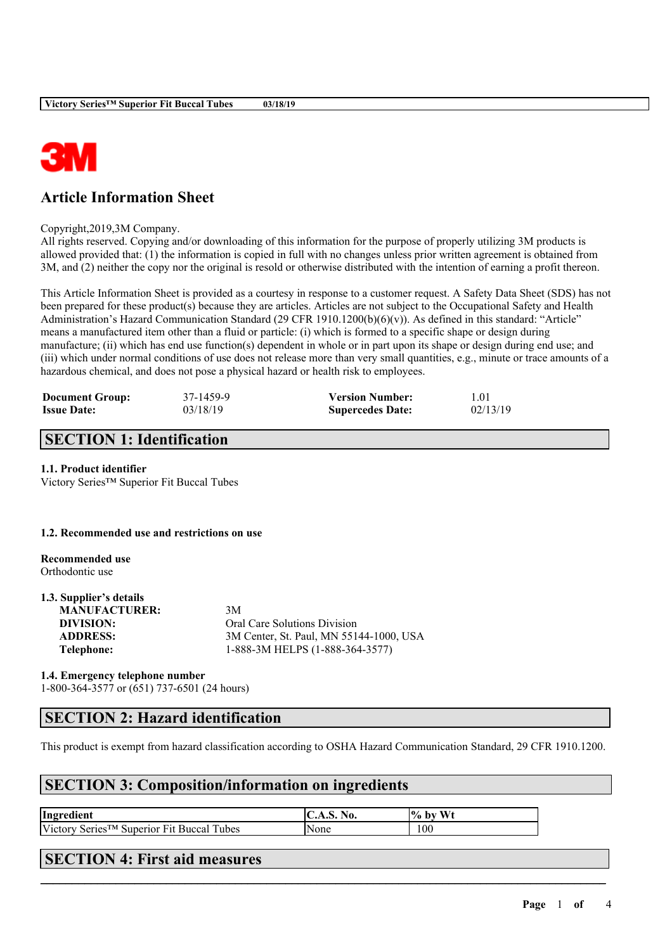

# **Article Information Sheet**

Copyright,2019,3M Company.

All rights reserved. Copying and/or downloading of this information for the purpose of properly utilizing 3M products is allowed provided that: (1) the information is copied in full with no changes unless prior written agreement is obtained from 3M, and (2) neither the copy nor the original is resold or otherwise distributed with the intention of earning a profit thereon.

This Article Information Sheet is provided as a courtesy in response to a customer request. A Safety Data Sheet (SDS) has not been prepared for these product(s) because they are articles. Articles are not subject to the Occupational Safety and Health Administration's Hazard Communication Standard (29 CFR 1910.1200(b)(6)(v)). As defined in this standard: "Article" means a manufactured item other than a fluid or particle: (i) which is formed to a specific shape or design during manufacture; (ii) which has end use function(s) dependent in whole or in part upon its shape or design during end use; and (iii) which under normal conditions of use does not release more than very small quantities, e.g., minute or trace amounts of a hazardous chemical, and does not pose a physical hazard or health risk to employees.

| <b>Document Group:</b> | 37-1459-9 | <b>Version Number:</b>  | 1.01     |
|------------------------|-----------|-------------------------|----------|
| <b>Issue Date:</b>     | 03/18/19  | <b>Supercedes Date:</b> | 02/13/19 |

# **SECTION 1: Identification**

#### **1.1. Product identifier**

Victory Series™ Superior Fit Buccal Tubes

#### **1.2. Recommended use and restrictions on use**

**Recommended use** Orthodontic use

### **1.3. Supplier's details MANUFACTURER:** 3M **DIVISION:** Oral Care Solutions Division **ADDRESS:** 3M Center, St. Paul, MN 55144-1000, USA **Telephone:** 1-888-3M HELPS (1-888-364-3577)

**1.4. Emergency telephone number** 1-800-364-3577 or (651) 737-6501 (24 hours)

# **SECTION 2: Hazard identification**

This product is exempt from hazard classification according to OSHA Hazard Communication Standard, 29 CFR 1910.1200.

 $\mathcal{L}_\mathcal{L} = \mathcal{L}_\mathcal{L} = \mathcal{L}_\mathcal{L} = \mathcal{L}_\mathcal{L} = \mathcal{L}_\mathcal{L} = \mathcal{L}_\mathcal{L} = \mathcal{L}_\mathcal{L} = \mathcal{L}_\mathcal{L} = \mathcal{L}_\mathcal{L} = \mathcal{L}_\mathcal{L} = \mathcal{L}_\mathcal{L} = \mathcal{L}_\mathcal{L} = \mathcal{L}_\mathcal{L} = \mathcal{L}_\mathcal{L} = \mathcal{L}_\mathcal{L} = \mathcal{L}_\mathcal{L} = \mathcal{L}_\mathcal{L}$ 

## **SECTION 3: Composition/information on ingredients**

| Ingredient                                               | $\mathbf{C}.\mathbf{A}.\mathbf{S}$ .<br>N0. | W1<br>$\frac{10}{6}$<br>, by |
|----------------------------------------------------------|---------------------------------------------|------------------------------|
| Victory Series <sup>™</sup> Superior Fit Buccal<br>Tubes | <b>None</b>                                 | 100                          |

## **SECTION 4: First aid measures**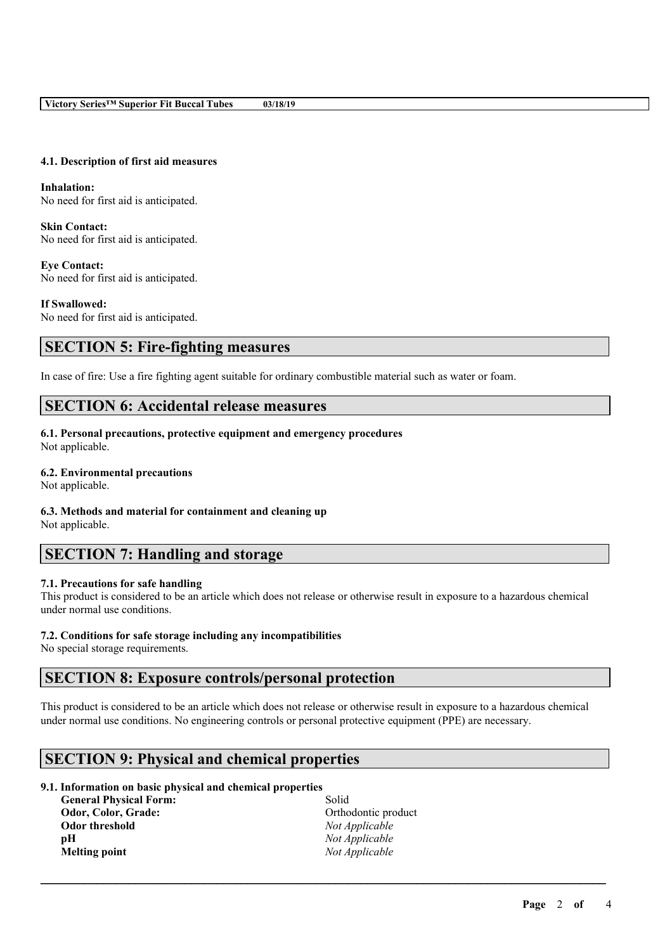### **4.1. Description of first aid measures**

**Inhalation:** No need for first aid is anticipated.

**Skin Contact:** No need for first aid is anticipated.

**Eye Contact:** No need for first aid is anticipated.

**If Swallowed:** No need for first aid is anticipated.

# **SECTION 5: Fire-fighting measures**

In case of fire: Use a fire fighting agent suitable for ordinary combustible material such as water or foam.

# **SECTION 6: Accidental release measures**

**6.1. Personal precautions, protective equipment and emergency procedures** Not applicable.

### **6.2. Environmental precautions**

Not applicable.

### **6.3. Methods and material for containment and cleaning up**

Not applicable.

# **SECTION 7: Handling and storage**

### **7.1. Precautions for safe handling**

This product is considered to be an article which does not release or otherwise result in exposure to a hazardous chemical under normal use conditions.

### **7.2. Conditions for safe storage including any incompatibilities**

No special storage requirements.

## **SECTION 8: Exposure controls/personal protection**

This product is considered to be an article which does not release or otherwise result in exposure to a hazardous chemical under normal use conditions. No engineering controls or personal protective equipment (PPE) are necessary.

 $\mathcal{L}_\mathcal{L} = \mathcal{L}_\mathcal{L} = \mathcal{L}_\mathcal{L} = \mathcal{L}_\mathcal{L} = \mathcal{L}_\mathcal{L} = \mathcal{L}_\mathcal{L} = \mathcal{L}_\mathcal{L} = \mathcal{L}_\mathcal{L} = \mathcal{L}_\mathcal{L} = \mathcal{L}_\mathcal{L} = \mathcal{L}_\mathcal{L} = \mathcal{L}_\mathcal{L} = \mathcal{L}_\mathcal{L} = \mathcal{L}_\mathcal{L} = \mathcal{L}_\mathcal{L} = \mathcal{L}_\mathcal{L} = \mathcal{L}_\mathcal{L}$ 

# **SECTION 9: Physical and chemical properties**

## **9.1. Information on basic physical and chemical properties**

**General Physical Form:** Solid **Odor, Color, Grade:** Orthodontic product **Odor threshold** *Not Applicable* **pH** *Not Applicable* **Melting point** *Not Applicable*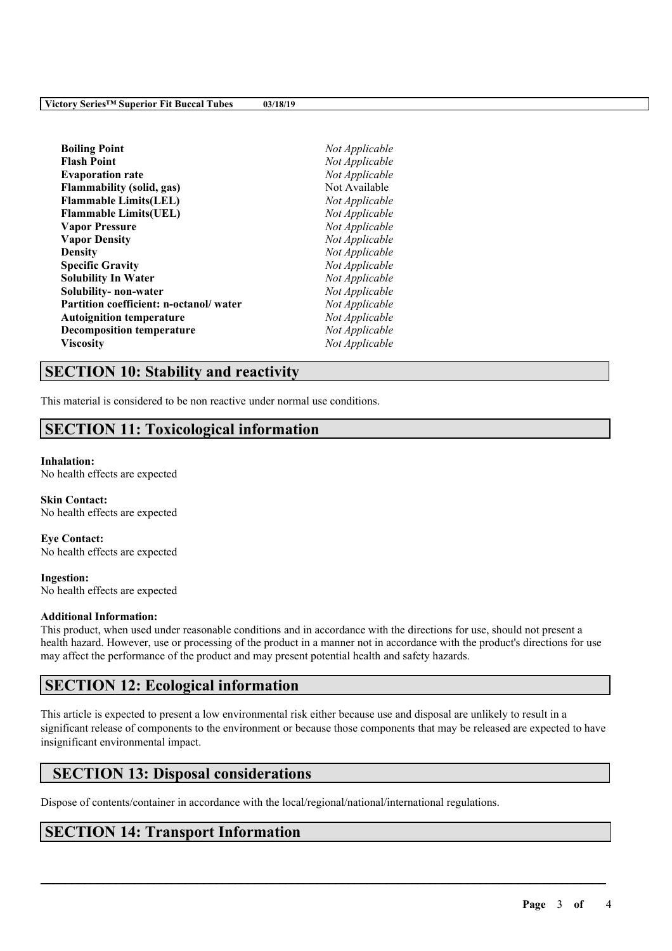| Not Applicable |
|----------------|
| Not Applicable |
| Not Applicable |
| Not Available  |
| Not Applicable |
| Not Applicable |
| Not Applicable |
| Not Applicable |
| Not Applicable |
| Not Applicable |
| Not Applicable |
| Not Applicable |
| Not Applicable |
| Not Applicable |
| Not Applicable |
| Not Applicable |
|                |

# **SECTION 10: Stability and reactivity**

This material is considered to be non reactive under normal use conditions.

# **SECTION 11: Toxicological information**

#### **Inhalation:**

No health effects are expected

**Skin Contact:** No health effects are expected

**Eye Contact:** No health effects are expected

**Ingestion:** No health effects are expected

#### **Additional Information:**

This product, when used under reasonable conditions and in accordance with the directions for use, should not present a health hazard. However, use or processing of the product in a manner not in accordance with the product's directions for use may affect the performance of the product and may present potential health and safety hazards.

# **SECTION 12: Ecological information**

This article is expected to present a low environmental risk either because use and disposal are unlikely to result in a significant release of components to the environment or because those components that may be released are expected to have insignificant environmental impact.

 $\mathcal{L}_\mathcal{L} = \mathcal{L}_\mathcal{L} = \mathcal{L}_\mathcal{L} = \mathcal{L}_\mathcal{L} = \mathcal{L}_\mathcal{L} = \mathcal{L}_\mathcal{L} = \mathcal{L}_\mathcal{L} = \mathcal{L}_\mathcal{L} = \mathcal{L}_\mathcal{L} = \mathcal{L}_\mathcal{L} = \mathcal{L}_\mathcal{L} = \mathcal{L}_\mathcal{L} = \mathcal{L}_\mathcal{L} = \mathcal{L}_\mathcal{L} = \mathcal{L}_\mathcal{L} = \mathcal{L}_\mathcal{L} = \mathcal{L}_\mathcal{L}$ 

# **SECTION 13: Disposal considerations**

Dispose of contents/container in accordance with the local/regional/national/international regulations.

# **SECTION 14: Transport Information**